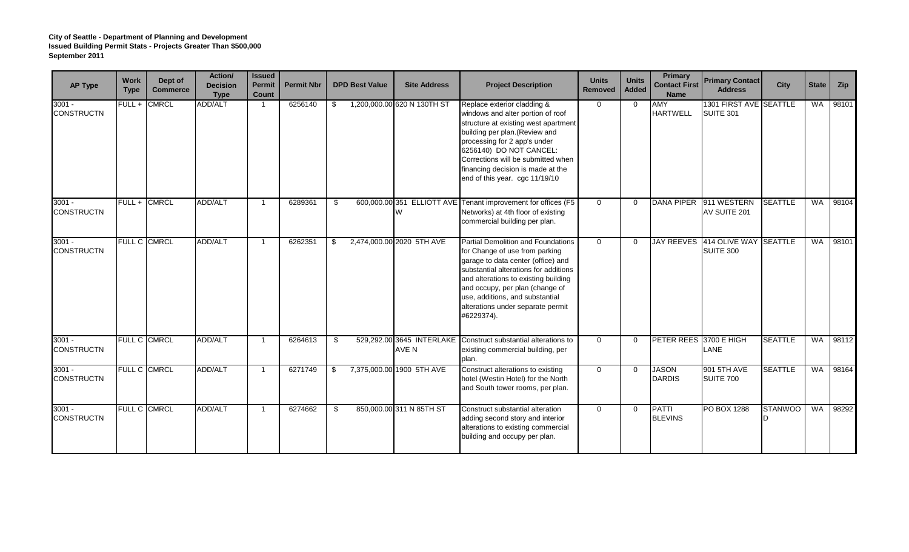| <b>AP Type</b>                | <b>Work</b><br><b>Type</b> | Dept of<br><b>Commerce</b> | Action/<br><b>Decision</b><br><b>Type</b> | <b>Issued</b><br><b>Permit</b><br><b>Count</b> | <b>Permit Nbr</b> | <b>DPD Best Value</b> | <b>Site Address</b>         | <b>Project Description</b>                                                                                                                                                                                                                                                                                           | <b>Units</b><br>Removed | <b>Units</b><br><b>Added</b> | <b>Primary</b><br><b>Contact First</b><br><b>Name</b> | <b>Primary Contact</b><br><b>Address</b> | City           | <b>State</b> | Zip   |
|-------------------------------|----------------------------|----------------------------|-------------------------------------------|------------------------------------------------|-------------------|-----------------------|-----------------------------|----------------------------------------------------------------------------------------------------------------------------------------------------------------------------------------------------------------------------------------------------------------------------------------------------------------------|-------------------------|------------------------------|-------------------------------------------------------|------------------------------------------|----------------|--------------|-------|
| $3001 -$<br><b>CONSTRUCTN</b> | FULL+                      | <b>CMRCL</b>               | ADD/ALT                                   |                                                | 6256140           | \$                    | 1,200,000.00 620 N 130TH ST | Replace exterior cladding &<br>windows and alter portion of roof<br>structure at existing west apartment<br>building per plan.(Review and<br>processing for 2 app's under<br>6256140) DO NOT CANCEL:<br>Corrections will be submitted when<br>financing decision is made at the<br>end of this year. cgc 11/19/10    | $\mathbf{0}$            | $\overline{0}$               | <b>AMY</b><br><b>HARTWELL</b>                         | 1301 FIRST AVE SEATTLE<br>SUITE 301      |                | <b>WA</b>    | 98101 |
| $3001 -$<br><b>CONSTRUCTN</b> |                            | FULL + CMRCL               | <b>ADD/ALT</b>                            |                                                | 6289361           | \$                    | W                           | 600,000.00 351 ELLIOTT AVE Tenant improvement for offices (F5<br>Networks) at 4th floor of existing<br>commercial building per plan.                                                                                                                                                                                 | $\overline{0}$          | $\Omega$                     |                                                       | DANA PIPER 911 WESTERN<br>AV SUITE 201   | <b>SEATTLE</b> | <b>WA</b>    | 98104 |
| $3001 -$<br><b>CONSTRUCTN</b> |                            | FULL C CMRCL               | ADD/ALT                                   |                                                | 6262351           | \$                    | 2,474,000.00 2020 5TH AVE   | Partial Demolition and Foundations<br>for Change of use from parking<br>garage to data center (office) and<br>substantial alterations for additions<br>and alterations to existing building<br>and occupy, per plan (change of<br>use, additions, and substantial<br>alterations under separate permit<br>#6229374). | $\Omega$                | $\Omega$                     | <b>JAY REEVES</b>                                     | 414 OLIVE WAY SEATTLE<br>SUITE 300       |                | <b>WA</b>    | 98101 |
| $3001 -$<br><b>CONSTRUCTN</b> |                            | FULL C CMRCL               | ADD/ALT                                   | -1                                             | 6264613           | \$                    | AVE N                       | 529,292.00 3645 INTERLAKE Construct substantial alterations to<br>existing commercial building, per<br>plan.                                                                                                                                                                                                         | $\Omega$                | $\mathbf 0$                  | PETER REES 3700 E HIGH                                | <b>LANE</b>                              | <b>SEATTLE</b> | <b>WA</b>    | 98112 |
| $3001 -$<br><b>CONSTRUCTN</b> |                            | FULL C CMRCL               | ADD/ALT                                   | -1                                             | 6271749           | \$                    | 7,375,000.00 1900 5TH AVE   | Construct alterations to existing<br>hotel (Westin Hotel) for the North<br>and South tower rooms, per plan.                                                                                                                                                                                                          | $\overline{0}$          | $\mathbf 0$                  | <b>JASON</b><br><b>DARDIS</b>                         | 901 5TH AVE<br>SUITE 700                 | <b>SEATTLE</b> | <b>WA</b>    | 98164 |
| $3001 -$<br><b>CONSTRUCTN</b> |                            | FULL C CMRCL               | ADD/ALT                                   |                                                | 6274662           | \$                    | 850,000.00 311 N 85TH ST    | Construct substantial alteration<br>adding second story and interior<br>alterations to existing commercial<br>building and occupy per plan.                                                                                                                                                                          | $\Omega$                | $\Omega$                     | PATTI<br><b>BLEVINS</b>                               | PO BOX 1288                              | <b>STANWOO</b> | <b>WA</b>    | 98292 |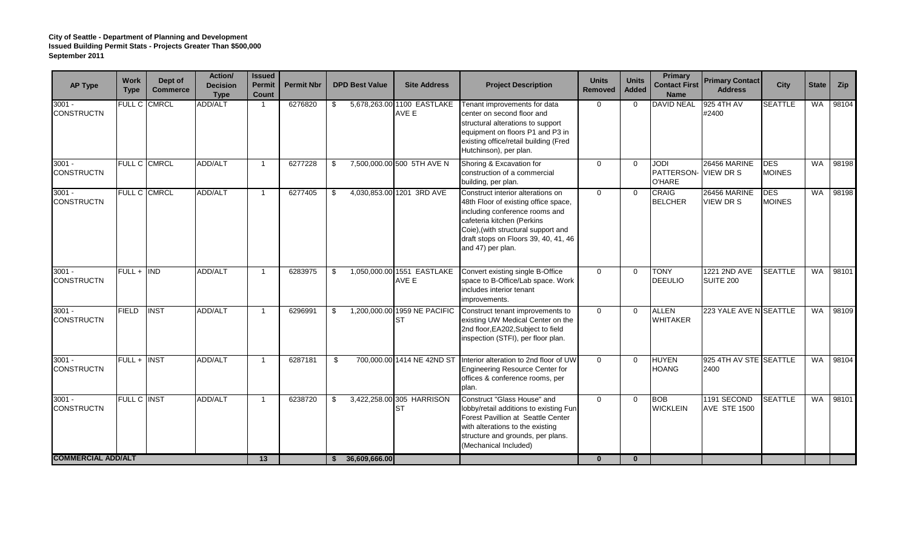| <b>AP Type</b>                | <b>Work</b><br><b>Type</b> | Dept of<br><b>Commerce</b> | Action/<br><b>Decision</b><br><b>Type</b> | <b>Issued</b><br><b>Permit</b><br>Count | <b>Permit Nbr</b> | <b>DPD Best Value</b> | <b>Site Address</b>                       | <b>Project Description</b>                                                                                                                                                                                                                    | <b>Units</b><br>Removed | <b>Units</b><br><b>Added</b> | <b>Primary</b><br><b>Contact First</b><br><b>Name</b> | <b>Primary Contact</b><br><b>Address</b> | <b>City</b>                 | <b>State</b> | <b>Zip</b> |
|-------------------------------|----------------------------|----------------------------|-------------------------------------------|-----------------------------------------|-------------------|-----------------------|-------------------------------------------|-----------------------------------------------------------------------------------------------------------------------------------------------------------------------------------------------------------------------------------------------|-------------------------|------------------------------|-------------------------------------------------------|------------------------------------------|-----------------------------|--------------|------------|
| $3001 -$<br><b>CONSTRUCTN</b> | FULL C CMRCL               |                            | ADD/ALT                                   | - 1                                     | 6276820           | \$                    | 5,678,263.00 1100 EASTLAKE<br>AVE E       | Tenant improvements for data<br>center on second floor and<br>structural alterations to support<br>equipment on floors P1 and P3 in<br>existing office/retail building (Fred<br>Hutchinson), per plan.                                        | $\Omega$                | $\mathbf 0$                  | <b>DAVID NEAL</b>                                     | 925 4TH AV<br>#2400                      | <b>SEATTLE</b>              | <b>WA</b>    | 98104      |
| $3001 -$<br><b>CONSTRUCTN</b> | <b>FULL C CMRCL</b>        |                            | ADD/ALT                                   | - 1                                     | 6277228           | \$                    | 7,500,000.00 500 5TH AVE N                | Shoring & Excavation for<br>construction of a commercial<br>building, per plan.                                                                                                                                                               | $\Omega$                | $\Omega$                     | <b>JODI</b><br>PATTERSON-<br>O'HARE                   | 26456 MARINE<br><b>VIEW DR S</b>         | <b>DES</b><br><b>MOINES</b> | <b>WA</b>    | 98198      |
| $3001 -$<br><b>CONSTRUCTN</b> |                            | FULL C CMRCL               | ADD/ALT                                   | $\overline{\mathbf{1}}$                 | 6277405           | \$                    | 4,030,853.00 1201 3RD AVE                 | Construct interior alterations on<br>48th Floor of existing office space,<br>including conference rooms and<br>cafeteria kitchen (Perkins<br>Coie), (with structural support and<br>draft stops on Floors 39, 40, 41, 46<br>and 47) per plan. | $\Omega$                | $\Omega$                     | <b>CRAIG</b><br><b>BELCHER</b>                        | 26456 MARINE<br><b>VIEW DR S</b>         | <b>DES</b><br><b>MOINES</b> | <b>WA</b>    | 98198      |
| $3001 -$<br><b>CONSTRUCTN</b> | $FULL + IND$               |                            | ADD/ALT                                   | $\overline{\mathbf{1}}$                 | 6283975           | \$                    | 1,050,000.00 1551 EASTLAKE<br>AVE E       | Convert existing single B-Office<br>space to B-Office/Lab space. Work<br>includes interior tenant<br>improvements.                                                                                                                            | $\Omega$                | $\mathbf{0}$                 | <b>TONY</b><br><b>DEEULIO</b>                         | 1221 2ND AVE<br>SUITE 200                | <b>SEATTLE</b>              | <b>WA</b>    | 98101      |
| $3001 -$<br><b>CONSTRUCTN</b> | <b>FIELD</b>               | <b>INST</b>                | ADD/ALT                                   | $\overline{\mathbf{1}}$                 | 6296991           | \$                    | 1,200,000.00 1959 NE PACIFIC<br><b>ST</b> | Construct tenant improvements to<br>existing UW Medical Center on the<br>2nd floor, EA202, Subject to field<br>inspection (STFI), per floor plan.                                                                                             | $\Omega$                | $\Omega$                     | <b>ALLEN</b><br><b>WHITAKER</b>                       | 223 YALE AVE N SEATTLE                   |                             | WA           | 98109      |
| $3001 -$<br><b>CONSTRUCTN</b> | FULL + INST                |                            | ADD/ALT                                   | - 1                                     | 6287181           | \$                    | 700,000,00 1414 NE 42ND ST                | Interior alteration to 2nd floor of UW<br><b>Engineering Resource Center for</b><br>offices & conference rooms, per<br>plan.                                                                                                                  | $\Omega$                | $\Omega$                     | <b>HUYEN</b><br>HOANG                                 | 925 4TH AV STE SEATTLE<br>2400           |                             | <b>WA</b>    | 98104      |
| $3001 -$<br><b>CONSTRUCTN</b> | <b>FULL C INST</b>         |                            | ADD/ALT                                   | -1                                      | 6238720           | \$                    | 3,422,258.00 305 HARRISON<br><b>ST</b>    | Construct "Glass House" and<br>lobby/retail additions to existing Fun<br>Forest Pavillion at Seattle Center<br>with alterations to the existing<br>structure and grounds, per plans.<br>(Mechanical Included)                                 | $\Omega$                | $\Omega$                     | <b>BOB</b><br><b>WICKLEIN</b>                         | 1191 SECOND<br><b>AVE STE 1500</b>       | <b>SEATTLE</b>              | <b>WA</b>    | 98101      |
| <b>COMMERCIAL ADD/ALT</b>     |                            |                            |                                           | 13                                      |                   | 36,609,666.00         |                                           |                                                                                                                                                                                                                                               | $\mathbf{0}$            | $\bf{0}$                     |                                                       |                                          |                             |              |            |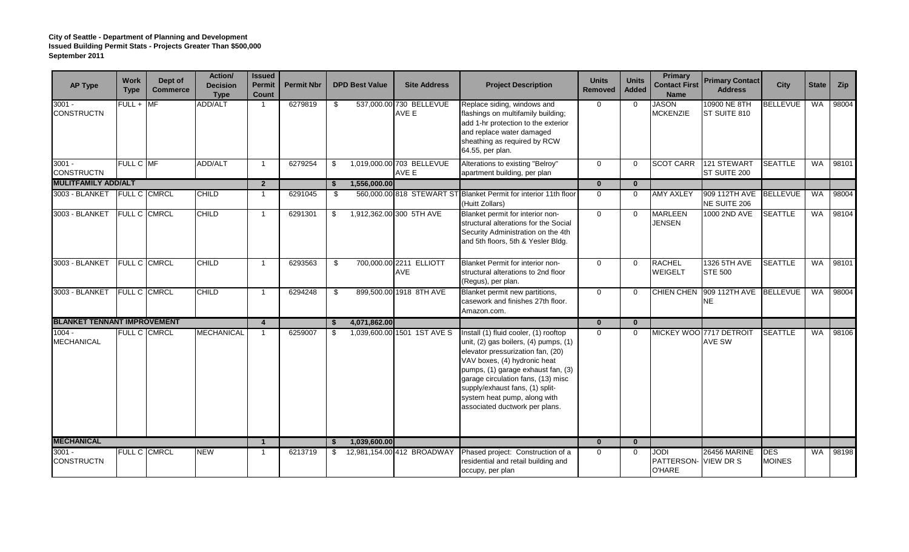| <b>AP Type</b>                     | <b>Work</b><br><b>Type</b> | Dept of<br><b>Commerce</b> | Action/<br><b>Decision</b><br><b>Type</b> | <b>Issued</b><br><b>Permit</b><br><b>Count</b> | <b>Permit Nbr</b> | <b>DPD Best Value</b> | <b>Site Address</b>                | <b>Project Description</b>                                                                                                                                                                                                                                                                                                           | <b>Units</b><br><b>Removed</b> | <b>Units</b><br><b>Added</b> | <b>Primary</b><br><b>Contact First</b><br><b>Name</b> | <b>Primary Contact</b><br><b>Address</b> | <b>City</b>                  | <b>State</b> | Zip   |
|------------------------------------|----------------------------|----------------------------|-------------------------------------------|------------------------------------------------|-------------------|-----------------------|------------------------------------|--------------------------------------------------------------------------------------------------------------------------------------------------------------------------------------------------------------------------------------------------------------------------------------------------------------------------------------|--------------------------------|------------------------------|-------------------------------------------------------|------------------------------------------|------------------------------|--------------|-------|
| $3001 -$<br><b>CONSTRUCTN</b>      | $FULL + M F$               |                            | ADD/ALT                                   | $\overline{1}$                                 | 6279819           | \$                    | 537,000.00 730 BELLEVUE<br>AVE E   | Replace siding, windows and<br>flashings on multifamily building;<br>add 1-hr protection to the exterior<br>and replace water damaged<br>sheathing as required by RCW<br>64.55, per plan.                                                                                                                                            | $\Omega$                       | $\mathbf 0$                  | <b>JASON</b><br><b>MCKENZIE</b>                       | 10900 NE 8TH<br>ST SUITE 810             | <b>BELLEVUE</b>              | WA           | 98004 |
| $3001 -$<br><b>CONSTRUCTN</b>      | FULL C MF                  |                            | <b>ADD/ALT</b>                            | -1                                             | 6279254           | \$                    | 1,019,000.00 703 BELLEVUE<br>AVE E | Alterations to existing "Belroy"<br>apartment building, per plan                                                                                                                                                                                                                                                                     | $\Omega$                       | $\Omega$                     | <b>SCOT CARR</b>                                      | 121 STEWART<br>ST SUITE 200              | <b>SEATTLE</b>               | <b>WA</b>    | 98101 |
| <b>MULITFAMILY ADD/ALT</b>         |                            |                            |                                           | $\overline{2}$                                 |                   | 1,556,000.00<br>S.    |                                    |                                                                                                                                                                                                                                                                                                                                      | $\bf{0}$                       | $\bf{0}$                     |                                                       |                                          |                              |              |       |
| 3003 - BLANKET FULL C CMRCL        |                            |                            | <b>CHILD</b>                              | -1                                             | 6291045           | - \$                  |                                    | 560,000.00 818 STEWART ST Blanket Permit for interior 11th floor<br>(Huitt Zollars)                                                                                                                                                                                                                                                  | $\Omega$                       | $\mathbf{0}$                 | <b>AMY AXLEY</b>                                      | 909 112TH AVE BELLEVUE<br>NE SUITE 206   |                              | <b>WA</b>    | 98004 |
| 3003 - BLANKET                     | FULL C CMRCL               |                            | <b>CHILD</b>                              | $\overline{\mathbf{1}}$                        | 6291301           | \$                    | 1,912,362.00 300 5TH AVE           | Blanket permit for interior non-<br>structural alterations for the Social<br>Security Administration on the 4th<br>and 5th floors, 5th & Yesler Bldg.                                                                                                                                                                                | $\Omega$                       | $\Omega$                     | <b>MARLEEN</b><br><b>JENSEN</b>                       | 1000 2ND AVE                             | <b>SEATTLE</b>               | <b>WA</b>    | 98104 |
| 3003 - BLANKET                     | <b>FULL C CMRCL</b>        |                            | <b>CHILD</b>                              | -1                                             | 6293563           | \$                    | 700,000.00 2211 ELLIOTT<br>AVE     | Blanket Permit for interior non-<br>structural alterations to 2nd floor<br>(Regus), per plan.                                                                                                                                                                                                                                        | $\Omega$                       | $\Omega$                     | <b>RACHEL</b><br>WEIGELT                              | 1326 5TH AVE<br><b>STE 500</b>           | <b>SEATTLE</b>               | <b>WA</b>    | 98101 |
| 3003 - BLANKET                     | <b>FULL C CMRCL</b>        |                            | <b>CHILD</b>                              | $\overline{\mathbf{1}}$                        | 6294248           | \$                    | 899,500.00 1918 8TH AVE            | Blanket permit new partitions,<br>casework and finishes 27th floor.<br>Amazon.com.                                                                                                                                                                                                                                                   | $\Omega$                       | $\mathbf{0}$                 | <b>CHIEN CHEN</b>                                     | 909 112TH AVE BELLEVUE<br><b>NE</b>      |                              | <b>WA</b>    | 98004 |
| <b>BLANKET TENNANT IMPROVEMENT</b> |                            |                            |                                           | $\overline{4}$                                 |                   | 4,071,862.00<br>-S    |                                    |                                                                                                                                                                                                                                                                                                                                      | $\Omega$                       | $\mathbf{0}$                 |                                                       |                                          |                              |              |       |
| $1004 -$<br><b>MECHANICAL</b>      |                            | <b>FULL C CMRCL</b>        | <b>MECHANICAL</b>                         | - 1                                            | 6259007           | - \$                  | 1,039,600.00 1501 1ST AVE S        | Install (1) fluid cooler, (1) rooftop<br>unit, (2) gas boilers, (4) pumps, (1)<br>elevator pressurization fan, (20)<br>VAV boxes, (4) hydronic heat<br>pumps, (1) garage exhaust fan, (3)<br>garage circulation fans, (13) misc<br>supply/exhaust fans, (1) split-<br>system heat pump, along with<br>associated ductwork per plans. | $\Omega$                       | $\Omega$                     |                                                       | MICKEY WOO 7717 DETROIT<br>AVE SW        | <b>SEATTLE</b>               | <b>WA</b>    | 98106 |
| <b>MECHANICAL</b>                  |                            |                            |                                           | $\overline{1}$                                 |                   | 1,039,600.00<br>-S    |                                    |                                                                                                                                                                                                                                                                                                                                      | $\bf{0}$                       | $\mathbf{0}$                 |                                                       |                                          |                              |              |       |
| $3001 -$<br><b>CONSTRUCTN</b>      |                            | <b>FULL C CMRCL</b>        | <b>NEW</b>                                | -1                                             | 6213719           | \$                    | 12,981,154.00 412 BROADWAY         | Phased project: Construction of a<br>residential and retail building and<br>occupy, per plan                                                                                                                                                                                                                                         | $\Omega$                       | $\mathbf{0}$                 | <b>IQOL</b><br>PATTERSON-<br>O'HARE                   | 26456 MARINE<br><b>VIEW DR S</b>         | <b>IDES</b><br><b>MOINES</b> | <b>WA</b>    | 98198 |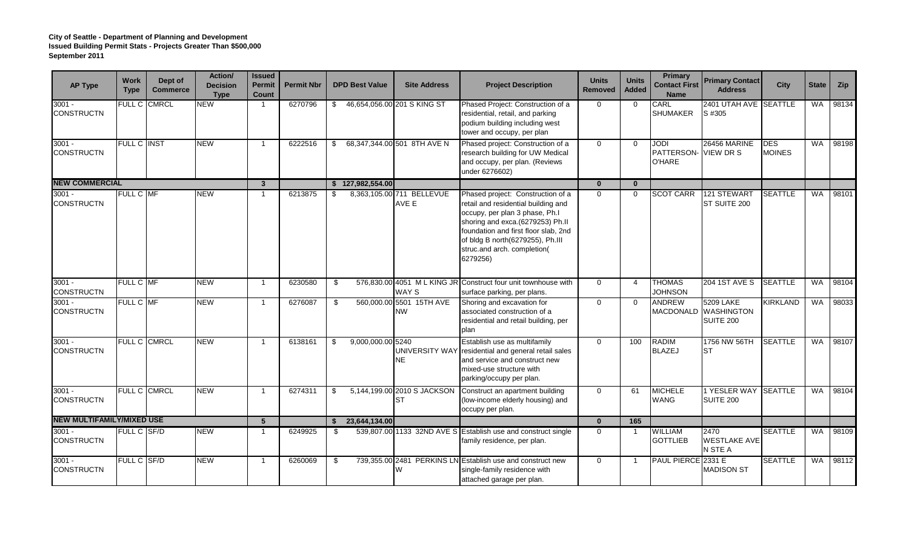| <b>AP Type</b>                   | <b>Work</b><br><b>Type</b> | Dept of<br><b>Commerce</b> | Action/<br><b>Decision</b><br><b>Type</b> | <b>Issued</b><br><b>Permit</b><br><b>Count</b> | <b>Permit Nbr</b> |    | <b>DPD Best Value</b> | <b>Site Address</b>                      | <b>Project Description</b>                                                                                                                                                                                                                                            | <b>Units</b><br><b>Removed</b> | <b>Units</b><br><b>Added</b> | Primary<br><b>Contact First</b><br><b>Name</b> | <b>Primary Contact</b><br><b>Address</b>              | <b>City</b>                 | <b>State</b> | Zip   |
|----------------------------------|----------------------------|----------------------------|-------------------------------------------|------------------------------------------------|-------------------|----|-----------------------|------------------------------------------|-----------------------------------------------------------------------------------------------------------------------------------------------------------------------------------------------------------------------------------------------------------------------|--------------------------------|------------------------------|------------------------------------------------|-------------------------------------------------------|-----------------------------|--------------|-------|
| $3001 -$<br><b>CONSTRUCTN</b>    |                            | FULL C CMRCL               | <b>NEW</b>                                | - 1                                            | 6270796           | \$ |                       | 46,654,056.00 201 S KING ST              | Phased Project: Construction of a<br>residential, retail, and parking<br>podium building including west<br>tower and occupy, per plan                                                                                                                                 | $\Omega$                       | $\overline{0}$               | CARL<br><b>SHUMAKER</b>                        | 2401 UTAH AVE SEATTLE<br>S #305                       |                             | <b>WA</b>    | 98134 |
| $3001 -$<br><b>CONSTRUCTN</b>    | <b>FULL C INST</b>         |                            | <b>NEW</b>                                | - 1                                            | 6222516           | \$ |                       | 68,347,344.00 501 8TH AVE N              | Phased project: Construction of a<br>research building for UW Medical<br>and occupy, per plan. (Reviews<br>under 6276602)                                                                                                                                             | $\Omega$                       | $\Omega$                     | <b>IODI</b><br>PATTERSON-<br>O'HARE            | 26456 MARINE<br><b>VIEW DR S</b>                      | <b>DES</b><br><b>MOINES</b> | <b>WA</b>    | 98198 |
| <b>NEW COMMERCIAL</b>            |                            |                            |                                           | $\mathbf{3}$                                   |                   |    | \$127,982,554.00      |                                          |                                                                                                                                                                                                                                                                       | $\mathbf{0}$                   | $\bf{0}$                     |                                                |                                                       |                             |              |       |
| $3001 -$<br><b>CONSTRUCTN</b>    | <b>FULL C MF</b>           |                            | <b>NEW</b>                                |                                                | 6213875           | \$ |                       | 8,363,105.00 711 BELLEVUE<br>AVE E       | Phased project: Construction of a<br>retail and residential building and<br>occupy, per plan 3 phase, Ph.I<br>shoring and exca.(6279253) Ph.II<br>foundation and first floor slab, 2nd<br>of bldg B north(6279255), Ph.III<br>struc.and arch. completion(<br>6279256) | $\Omega$                       | $\mathbf{0}$                 | <b>SCOT CARR</b>                               | 121 STEWART<br>ST SUITE 200                           | <b>SEATTLE</b>              | <b>WA</b>    | 98101 |
| $3001 -$<br><b>CONSTRUCTN</b>    | FULL C MF                  |                            | <b>NEW</b>                                | -1                                             | 6230580           | \$ |                       | WAY S                                    | 576,830.00 4051 M L KING JR Construct four unit townhouse with<br>surface parking, per plans.                                                                                                                                                                         | $\Omega$                       | $\overline{4}$               | <b>THOMAS</b><br><b>JOHNSON</b>                | 204 1ST AVE S                                         | <b>SEATTLE</b>              | <b>WA</b>    | 98104 |
| $3001 -$<br><b>CONSTRUCTN</b>    | FULL C MF                  |                            | <b>NEW</b>                                | $\overline{\mathbf{1}}$                        | 6276087           | \$ |                       | 560,000.00 5501 15TH AVE<br><b>NW</b>    | Shoring and excavation for<br>associated construction of a<br>residential and retail building, per<br>plan                                                                                                                                                            | $\Omega$                       | $\Omega$                     | <b>ANDREW</b>                                  | 5209 LAKE<br>MACDONALD WASHINGTON<br><b>SUITE 200</b> | <b>KIRKLAND</b>             | <b>WA</b>    | 98033 |
| $3001 -$<br><b>CONSTRUCTN</b>    |                            | FULL C CMRCL               | <b>NEW</b>                                | -1                                             | 6138161           | \$ | 9,000,000.00 5240     | NE.                                      | Establish use as multifamily<br>UNIVERSITY WAY residential and general retail sales<br>and service and construct new<br>mixed-use structure with<br>parking/occupy per plan.                                                                                          | $\Omega$                       | 100                          | <b>RADIM</b><br><b>BLAZEJ</b>                  | 1756 NW 56TH<br>Ist                                   | <b>SEATTLE</b>              | <b>WA</b>    | 98107 |
| $3001 -$<br><b>CONSTRUCTN</b>    | FULL C CMRCL               |                            | <b>NEW</b>                                | $\overline{\mathbf{1}}$                        | 6274311           | \$ |                       | 5,144,199.00 2010 S JACKSON<br><b>ST</b> | Construct an apartment building<br>(low-income elderly housing) and<br>occupy per plan.                                                                                                                                                                               | $\Omega$                       | 61                           | <b>MICHELE</b><br><b>WANG</b>                  | 1 YESLER WAY SEATTLE<br>SUITE 200                     |                             | WA           | 98104 |
| <b>NEW MULTIFAMILY/MIXED USE</b> |                            |                            |                                           | 5                                              |                   | S. | 23,644,134.00         |                                          |                                                                                                                                                                                                                                                                       | $\mathbf{0}$                   | 165                          |                                                |                                                       |                             |              |       |
| $3001 -$<br><b>CONSTRUCTN</b>    | FULL C SF/D                |                            | <b>NEW</b>                                | -1                                             | 6249925           | \$ |                       |                                          | 539,807.00 1133 32ND AVE S Establish use and construct single<br>family residence, per plan.                                                                                                                                                                          | $\Omega$                       | -1                           | <b>WILLIAM</b><br><b>GOTTLIEB</b>              | 2470<br><b>WESTLAKE AVE</b><br>N STE A                | <b>SEATTLE</b>              | WA           | 98109 |
| $3001 -$<br><b>CONSTRUCTN</b>    | FULL C SF/D                |                            | <b>NEW</b>                                | -1                                             | 6260069           | \$ |                       | W                                        | 739,355.00 2481 PERKINS LN Establish use and construct new<br>single-family residence with<br>attached garage per plan.                                                                                                                                               | $\Omega$                       |                              | <b>PAUL PIERCE</b>                             | 2331 E<br><b>MADISON ST</b>                           | <b>SEATTLE</b>              | <b>WA</b>    | 98112 |